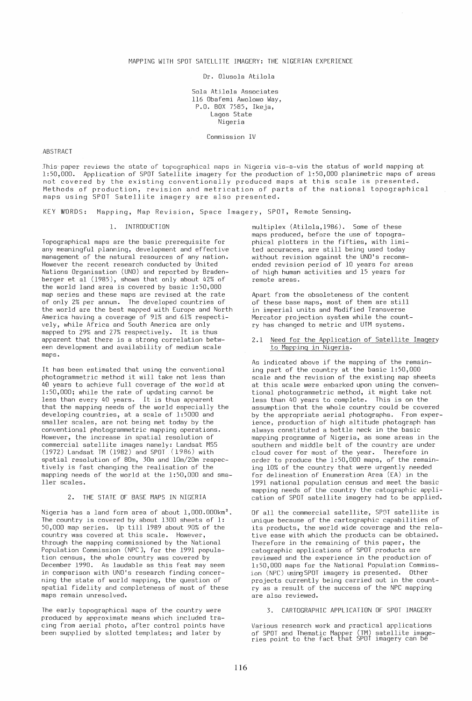Dr. Olusola Atilola

Sola Atilola Associates 116 Obafemi Awolowo Way, P.O. BOX 7585, Ikeja, Lagos State Nigeria

Commission IV

ABSTRACT

This paper reviews the state of topographical maps in Nigeria vis-a-vis the status of world mapping at 1:50,000. Application of SPOT Satellite imagery for the production of 1;50,000 planimetric maps of areas ndt covered by the existing conventionally produced maps at this scale is presented. Methods of production, revision and metrication of parts of the national topographical maps using SPOT Satellite imagery are also presented.

KEY W'ORDS: Mapping, Map Revision, Space Imagery, SPOT, Remote Sensing.

#### 1. INTRODUCTION

Topographical maps are the basic prerequisite for any meaningful planning, development and effective management of the natural resources of any nation. However the recent research conducted by United Nations Organisation (UNO) and reported by Bradenberger et al (1985), shows that only about 42% of the world land area is covered by basic 1:50,000 map series and these maps are revised at the rate of only 2% per annum. The developed countries of the world are the best mapped with Europe and North America having a coverage of 91% and 61% respectively, while Africa and South America are only mapped to 29% and 27% respectively. It is thus apparent that there is a strong correlation between development and availability of medium scale maps.

It has been estimated that using the conventional photogrammetric method it will take not less than 40 years to achieve full coverage of the world at 1:50,000; while the rate of updating cannot be less than every 40 years. It is thus apparent that the mapping needs of the world especially the developing countries, at a scale of 1:5000 and smaller scales, are not being met today by the conventional photogrammetric mapping operations. However, the increase in spatial resolution of commercial satellite images namely: Landsat MSS (1972) Landsat TM (1982) and SPOT (1986) with spatial resolution of 80m, 30m and 10m/20m respectively is fast changing the realisation of the mapping needs of the world at the 1:50,000 and smaller scales.

#### 2. THE STATE OF BASE MAPS IN NIGERIA

Nigeria has a land form area of about 1,000.000km<sup>2</sup>. The country is covered by about 1300 sheets of 1: 50,000 map series. Up till 1989 about 90% of the country was covered at this scale. However, through the mapping commissioned by the National Population Commission (NPC), for the 1991 population census, the whole country was covered by December 1990. As laudable as this feat may seem in comparison with UNO's research finding concerning the state of world mapping, the question of spatial fidelity and completeness of most of these maps remain unresolved.

The early topographical maps of the country were produced by approximate means which included tracing from aerial photo, after control points have been supplied by slotted templates; and later by

multiplex (Atilola,1986). Some of these maps produced, before the use of topographical plotters in the fifties, with limited accuraces, are still being used today without revision against the UNO's recommended revision period of 10 years for areas of high human activities and 15 years for remote areas.

Apart from the obsoleteness of the content of these base maps, most of them are still in imperial units and Modified Transverse Mercator projection system while the country has changed to metric and UTM systems.

2.1 Need for the Application of Satellite Imagery to Mapping in Nigeria.

As indicated above if the mapping of the remaining part of the country at the basic 1:50,000 scale and the revision of the existing map sheets at this scale were embarked upon using the conventional photogrammetric method, it might take not less than 40 years to complete. This is on the assumption that the whole country could be covered by the appropriate aerial photographs. From experience, production of high altitude photograph has always constituted a bottle neck in the basic mapping programme of Nigeria, as some areas in the southern and middle belt of the country are under cloud cover for most of the year. Therefore in order to produce the 1:50,000 maps, of the remaining 10% of the country that were urgently needed for delineation of Enumeration Area (EA) in the 1991 national population census and meet the basic mapping needs of the country the catographic application of SPOT satellite imagery had to be applied.

Of all the commercial satellite, SPOT satellite is unique because of the cartographic capabilities of its products, the world wide coverage and the relative ease with which the products can be obtained. Therefore in the remaining of this paper, the catographic applications of SPOT products are reviewed and the experience in the production of 1:50,000 maps for the National Population Commission (NPC) using SPOT imagery is presented. Other projects currently being carried out in the country as a result of the success of the NPC mapping are also reviewed.

3. CARTOGRAPHIC APPLICATION OF SPOT IMAGERY

Various research work and practical applications of SPOT and Thematic Mapper (TM) ~atellite image- ries point to the fact that SPOT lmagery can be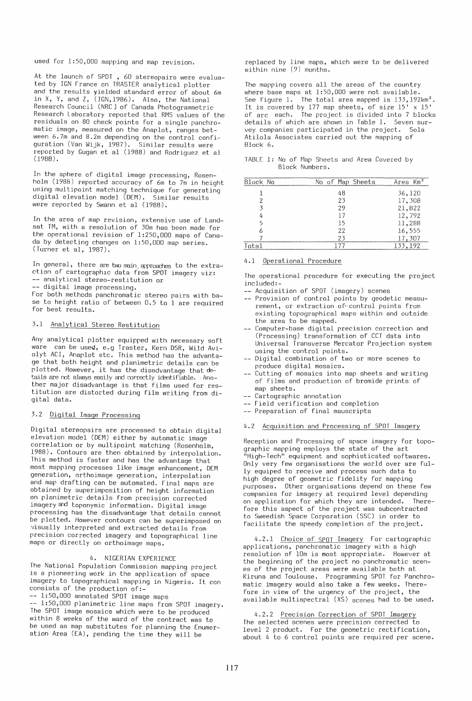used for 1:50,000 mapping and map revision.

At the launch of SPOT , 60 stereopairs were evaluated by IGN France on TRASTER analytical plotter and the results yielded standard error of about 6m in X, Y, and Z, (IGN,1986). Also, the National Research Council (NRC) of Canada Photogrammetric Research Laboratory reported that RMS values of the residuals on 80 check points for a single panchromatic image, measured on the Anaplot, ranges between 6.7m and 8.2m depending on the control configuration (Van Wijk, 1987). Similar results were reported by Gugan et al (1988) and Rodriguez et al (1988) .

In the sphere of digital image processing, Rosenholm (1988) reported accuracy of 6m to 7m in height using multipoint matching technique for generating digital elevation model (OEM). Similar results were reported by Swann et al (1988).

In the area of map revision, extensive use of Landsat TM, with a resolution of 30m has been made for the operational revision of 1:250,000 maps of Canada by detecting changes on 1:50,000 map series. (Turner et aI, 1987).

In general, there are two main approaches to the extraction of cartographlc data from SPOT imagery viz: -- analytical stereo-restitution or -- digital image processing.

For both methods panchromatic stereo pairs with base to height ratio of between 0.5 to 1 are required for best results.

# 3.1 Analytical Stereo Restitution

Any analytical plotter equipped with necessary soft ware can be used, e.g Traster, Kern DSR, Wild Aviolyt ACI, Anaplot etc. This method has the advantage that both height and planimetric details can be plotted. However, it has the disadvantage that  $de$ tails are not always easily and correctly identifiable. Another major disadvantage is that films used for restitution are distorted during film writing from digital data.

# 3.2 Digital Image Processing

Digital stereopairs are processed to obtain digital elevation model (OEM) either by automatic image correlation or by multipoint matching (Rosenholm, 1988). Contours are then obtained by interpolation. This method is faster and has the advantage that most mapping processes like image enhancement, OEM generation, or tho image generation, interpolation and map drafting can be automated. Final maps are obtained by superimposition of height information on planimetric details from precision corrected imagery and toponymic information. Digital image processing has the disadvantage that details cannot be plotted. However contours can be superimposed on visually interpreted and extracted details from precision corrected imagery and topographical line maps or directly on orthoimage maps.

# 4. NIGERIAN EXPERIENCE

The National Population Commission mapping project is a pioneering work in the application of space imagery to topographical mapping in Nigeria. It con consists of the production of:- -- 1:50,000 annotated SPOT image maps

-- 1:50,000 planimetric line maps from SPOT imagery. The SPOT image mosaics which were to be produced within 8 weeks of the ward of the contract was to be used as map substitutes for planning the Enumeration Area (EA), pending the time they will be

replaced by line maps, which were to be delivered within nine (9) months.

The mapping covers all the areas of the country where base maps at 1:50,000 were not available. See figure 1. The total area mapped is  $133,192$ km<sup>2</sup>. It is covered by 177 map sheets, of size 15' x 15' of arc each. The project is divided into 7 blocks details of which are shown in Table 1. Seven survey companies participated in the project. Sola Atilola Associates carried out the mapping of Block 6.

|  |                |  |  |  | TABLE 1: No of Map Sheets and Area Covered by |  |
|--|----------------|--|--|--|-----------------------------------------------|--|
|  | Block Numbers. |  |  |  |                                               |  |

| Block No | No of Map Sheets | Area Km <sup>2</sup> |
|----------|------------------|----------------------|
|          | 48               | 36,120               |
|          | 23               | 17,308               |
|          | 29               | 21,822               |
|          | 17               | 12,792               |
|          | 15               | 11,288               |
| 6        | 22               | 16,555               |
|          | 23               | 17,307               |
| Total    | 177              | 133,192              |

#### 4.1 Operational Procedure

The operational procedure for executing the project included:-

- -- Acquisition of SPOT (imagery) scenes -- Provision of control points by geodetic measu-
- rement, or extraction of control points from existing topographical maps within and outside the area to be mapped.
- Computer-base digital precision correction and (Processing) transformation of CCT data into Universal Transverse Mercator Projection system using the control points.
- -- Digital combination of two or more scenes to produce digital mosaics.
- -- Cutting of mosaics into map sheets and writing of films and production of bromide prints of map sheets.
- -- Cartographic annotation
- -- Field verification and completion
- -- Preparation of final mauscripts

# 4.2 Acquisition and Processing of SPOT Imagery

Reception and Processing of space imagery for topographic mapping employs the state of the art "High-Tech" equipment and sophisticated softwares. Only very few organisations the world over are fully equiped to receive and process such data to high degree of geometric fidelity for mapping purposes. Other organisations depend on these few companies for imagery at required level depending on application for which they are intended. Therefore this aspect of the project was subcontracted to Sweedish Space Corporation (SSC) in order to facilitate the speedy completion of the project.

4.2.1 Choice of SPOT Imagery For cartographic applications, panchromatic imagery with a high resolution of 10m is most appropriate. However at the beginning of the project no panchromatic scenes of the project areas were available both at Kiruna and Toulouse. Programming SPOT for Panchromatic imagery would also take a few weeks. Therefore in view of the urgency of the project, the available multispectral (XS) scenes had to be used.

4.2.2 Precision Correction of SPOT Imagery The selected scenes were precision corrected to level 2 product. For the geometric rectification, about 4 to 6 control points are required per scene.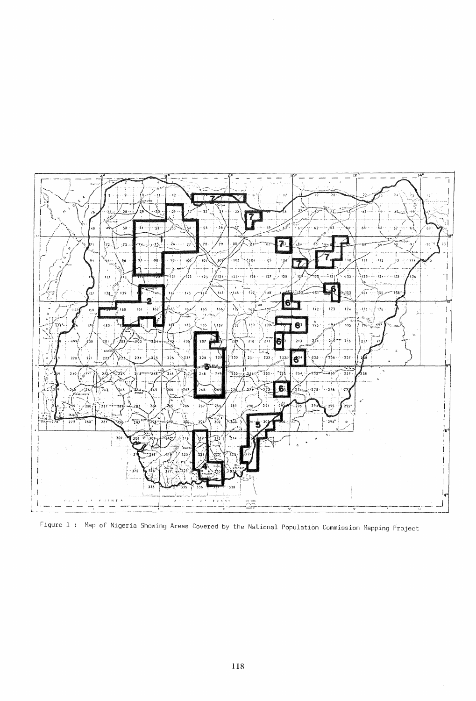

Figure 1 : Map of Nigeria Showing Areas Covered by the National Population Commission Mapping Project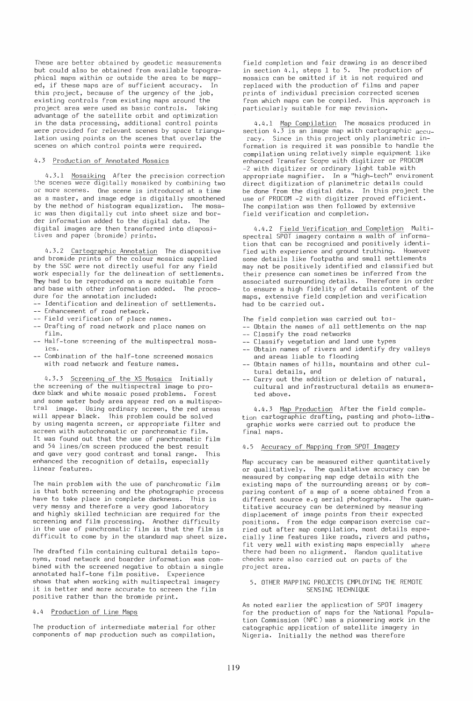These are better obtained by geodetic measurements but could also be obtained from available topographical maps within or outside the area to be mapped, if these maps are of sufficient accuracy. In this project, because of the urgency of the job, existing controls from existing maps around the project area were used as basic controls. Taking advantage of the satellite orbit and optimization in the data processing, additional control points were provided for relevant scenes by space triangulation using points on the scenes that overlap the scenes on which control points were required.

## 4.3 Production of Annotated Mosaics

4.3.1 Mosaiking After the precision correction the scenes were digitally mosaiked by combining two or more scenes. One scene is introduced at a time as a master, and image edge is digitally smoothened by the method of histogram equalization. The mosaic was then digitally cut into sheet size and border information added to the digital data. The digital images are then transformed into diaposjtives and paper (bromide) prints.

4.3.2 Cartographic Annotation The diapositive and bromide prints of the colour mosaics supplied by the SSC were not directly useful for any field work especially for the delineation of settlements. They had to be reproduced on a more suitable form and base with other information added. The procedure for the annotation included:

-- Identification and delineation of settlements.

- -- Enhancement of road network.
- -- Field verification of place names.
- -- Drafting of road network and place names on film.
- -- Half-tone screening of the multispectral mosaics.
- Combination of the half-tone screened mosaics with road network and feature names.

4.3.3 Screening of the XS Mosaics Initially the screening of the multispectral image to produce black and white mosaic posed problems. Forest and some water body area appear red on a multispectral image. Using ordinary screen, the red areas will appear black. This problem could be solved by using magenta screen, or appropriate filter and screen with autochromatic or panchromatic film. It was found out that the use of panchromatic film and 54 lines/cm screen produced the best result and gave very good contrast and tonal range. This enhanced the recognition of details, especially linear features.

The main problem with the use of panchromatic film is that both screening and the photographic process have to take place in complete darkness. This is very messy and therefore a very good laboratory and highly skilled technician are required for the screening and film processing. Another difficulty in the use of panchromatic film is that the film is difficult to come by in the standard map sheet size.

The drafted film containing cultural details toponyms, road network and boarder information was combined with the screened negative to obtain a single annotated half-tone film positive. Experience shows that when working with multispectral imagery it is better and more accurate to screen the film positive rather than the bromide print.

### 4.4 Production of Line Maps

The production of intermediate material for other components of map production such as compilation,

field completion and fair drawing is as described in section 4.1, steps 1 to 5. The production of mosaics can be omitted if it is not required and replaced with the production of films and paper prints of individual precision corrected scenes from which maps can be compiled. This approach is particularly suitable for map revision.

4.4.1 Map Compilation The mosaics produced in section  $4.\overline{3}$  is an image map with cartographic  $_{\text{accu-}}$ racy. Since in this project only planimetric information is required it was possible to handle the compilation using relatively simple equipment like enhanced Transfer Scope with digitizer or PROCOM -2 with digitizer or ordinary light table with appropriate magnifier. In a "high-tech" enviroment direct digitization of planimetric details could be done from the digital data. In this project the use of PROCOM -2 with digitizer proved efficient. The compilation was then followed by extensive field verification and completion.

4.4.2 Field Verification and Completion Multispectral SPOT imagery contains a walth of information that can be recognised and positively identi-<br>fied with experience and ground truthing. However fied with experience and ground truthing. some details like footpaths and small settlements may not be positively identified and classified but their presence can sometimes be inferred from the associated surrounding details. Therefore in order to ensure a high fidelity of details content of the maps, extensive field completion and verification had to be carried out.

The field completion was carried out to:-

- Obtain the names of all settlements on the map
- -- Classify the road networks
- Classify vegetation and land use types
- -- Obtain names of rivers and identify dry valleys and areas liable to flooding
- Obtain names of hills, mountains and other cultural details, and
- -- Carry out the addition or deletion of natural, cultural and infrastructural details as enumerated above.

4.4.3 Map Production After the field completion cartographic drafting, pasting and photo-lithographic works were carried out to produce the final maps.

## 4.5 Accuracy of Mapping from SPOT Imagery

Map accuracy can be measured either quantitatively or qualitatively. The qualitative accuracy can be measured by comparing map edge details with the existing maps of the surrounding areas; or by comparing content of a map of a scene obtained from a different source e.g aerial photographs. The quantitative accuracy can be determined by measuring displacement of image points from their expected positions. From the edge comparison exercise carried out after map compilation, most details especially line features like roads, rivers and paths, fit very well with existing maps especially where there had been no alignment. Random qualitative checks were also carried out on parts of the project area.

## 5. OTHER MAPPING PROJECTS EMPLOYING THE REMOTE SENSING TECHNIQUE

As noted earlier the application of SPOT imagery for the production of maps for the National Population Commission (NPC) was a pioneering work in the catographic application of satellite imagery in Nigeria. Initially the method was therefore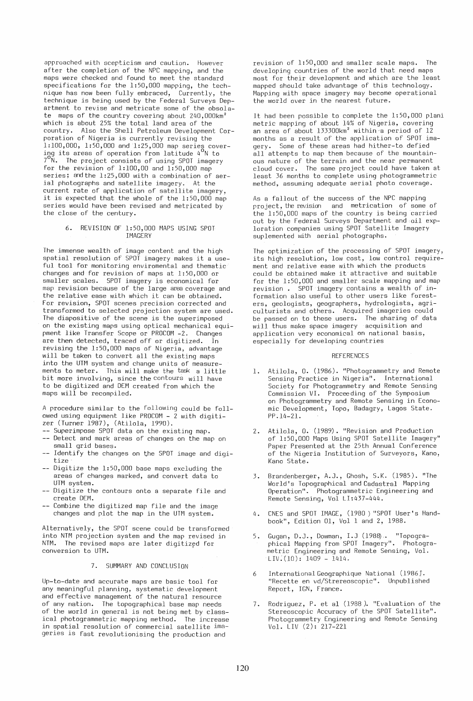approached with scepticism and caution. However after the completion of the NPC mapping, and the maps were checked and found to meet the standard specifications for the 1:50,000 mapping, the technique has now been fully embraced, Currently, the technique is being used by the Federal Surveys Department to revise and metricate some of the obsolate maps of the country covering about 240,000km<sup>2</sup> which is about 25% the total land area of the country. Also the Shell Petroleum Development Corporation of Nigeria is currently revising the 1:100,000, 1:50,000 and 1:25,000 map series cover-ing its areas of operation from latitude 40 N to 7 o  $\rm ^{2}N.$  The project consists of using SPOT imagery for the revision of  $1:100,00$  and  $1:50,000$  map series; andthe 1:25,000 with a combination of aerial photographs and satellite imagery. At the current rate of application of satellite imagery, it is expected that the whole of the 1:50,000 map series would have been revised and metricated by the close of the century.

#### 6. REVISION OF 1:50,000 MAPS USING SPOT IMAGERY

The immense wealth of image content and the high spatial resolution of SPOT imagery makes it a useful tool for monitoring enviromental and thematic changes and for revision of maps at 1:50,000 or smaller scales. SPOT imagery is economical for map revision because of the large area coverage and the relative ease with which it can be obtained. For revision, SPOT scenes precision corrected and transformed to selected projection system are used. The diapositive of the scene is the superimposed on the existing maps using optical mechanical equipment like Transfer Scope or PROCOM -2. Changes are then detected, traced off or digitized. In revising the 1:50,000 maps of Nigeria, advantage will be taken to convert all the existing maps into the UTM system and change units of measurements to meter. This will make the task a little bit more involving, since the contours will have to be digitized and OEM created from which the maps will be recompiled.

A procedure similar to the following could be followed using equipment like PROCOM - 2 with digitizer (Turner 1987), (Atilola, 1990).

- -- Superimpose SPOT data on the existing map.
- -- Detect and mark areas of changes on the map on small grid bases.
- -- Identify the changes on the SPOT image and digitize
- -- Digitize the 1:50,000 base maps excluding the areas of changes marked, and convert data to UTM system.
- -- Digitize the contours onto a separate file and create OEM.
- -- Combine the digitized map file and the image changes and plot the map in the UTM system.

Alternatively, the SPOT scene could be transformed into NTM projection system and the map revised in NTM. The revised maps are later digitized for conversion to UTM.

# 7. SUMMARY AND CONCLUSION

Up-to-date and accurate maps are basic tool for any meaningful planning, systematic development and effective management of the natural resource of any nation. The topographical base map needs of the world in general is not being met by classical photogrammetric mapping method. The increase in spatial resolution of commercial satellite imageries is fast revolutionising the production and

revision of 1:50,000 and smaller scale maps. The developing countries of the world that need maps most for their development and which are the least mapped should take advantage of this technology. Mapping with space imagery may become operational the world over in the nearest future.

It had been possible to complete the 1:50,000 plani metric mapping of about 14% of Nigeria, covering an area of about 133300km<sup>2</sup> within a period of 12 months as a result of the application of SPOT imagery. Some of these areas had hither-to defied all attempts to map them because of the mountainous nature of the terrain and the near permanent cloud cover. The same project could have taken at least 36 months to complete using photogrammetric method, assuming adequate aerial photo coverage.

As a fallout of the success of the NPC mapping project, the revision and metrication of some of the 1:50,000 maps of the country is being carried out by the Federal Surveys Department and oil exploration companies using SPOT Satellite Imagery suplemented with aerial photographs.

The optimization of the processing of SPOT imagery, its high resolution, low cost, low control requirement and relative ease with which the products could be obtained make it attractive and suitable for the 1:50,000 and smaller scale mapping and map revision. SPOT imagery contains a wealth of information also useful to other users like foresters, geologists, geographers, hydrologists, agriculturists and others. Acquired imageries could be passed on to these users. The sharing of data will thus make space imagery acquisition and application very economical on national basis, especially for developing countries

## REFERENCES

- 1. Atilola, O. (1986). "Photogrammetry and Remote Sensing Practice in Nigeria". International Society for Photogrammetry and Remote Sensing Commission VI. Proceeding of the Symposium on Photogrammetry and Remote Sensing in Economic Development, Topo, Badagry, Lagos State. PP .14-21.
- 2. Atilola, O. (1989). "Revision and Production of 1:50,000 Maps Using SPOT Satellite Imagery" Paper Presented at the 25th Annual Conference of the Nigeria Institution of Surveyors, Kano, Kano State.
- 3. Brandenberger, A.J., Ghosh, S.K. (1985). "The Wor Id 's Topographical and Cadastral Mapping Operation". Photogrammetric Engineering and Remote Sensing, Vol LI:437-444.
- 4 . CNES and SPOT IMAGE, (1980)" SPOT User's Handbook", Edition 01, Vol 1 and 2, 1988.
- 5. Gugan, D.J., Dowman, I.J (1988).. "Topographical Mapping from SPOT Imagery". Photogrametric Engineering and Remote Sensing, Vol.  $LIV.(10): 1409 - 1414.$
- 6 International Geographique National (1986 J. "Recette en vd/Strereoscopic". Unpublished Report, IGN, France.
- 7. Rodriguez, P. et al (1988). "Evaluation of the Stereoscopic Accuracy of the SPOT Satellite". Photogrammetry Engineering and Remote Sensing Vol. LIV (2): 217-221